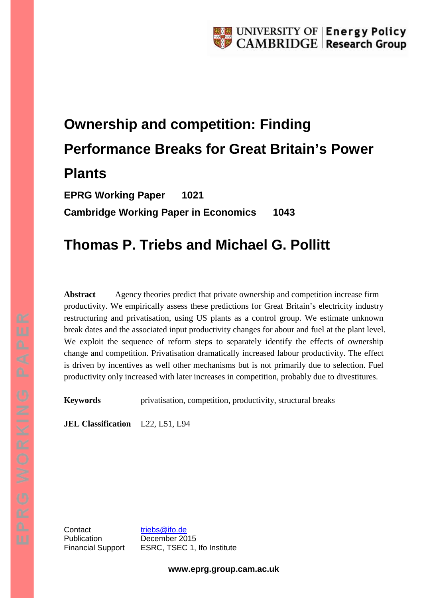# **Ownership and competition: Finding Performance Breaks for Great Britain's Power Plants**

**EPRG Working Paper 1021 Cambridge Working Paper in Economics 1043**

# **Thomas P. Triebs and Michael G. Pollitt**

**Abstract** Agency theories predict that private ownership and competition increase firm productivity. We empirically assess these predictions for Great Britain's electricity industry restructuring and privatisation, using US plants as a control group. We estimate unknown break dates and the associated input productivity changes for abour and fuel at the plant level. We exploit the sequence of reform steps to separately identify the effects of ownership change and competition. Privatisation dramatically increased labour productivity. The effect is driven by incentives as well other mechanisms but is not primarily due to selection. Fuel productivity only increased with later increases in competition, probably due to divestitures.

**Keywords** privatisation, competition, productivity, structural breaks

**JEL Classification** L22, L51, L94

Contact [triebs@ifo.de](mailto:triebs@ifo.de) Publication December 2015

Financial Support ESRC, TSEC 1, Ifo Institute

**www.eprg.group.cam.ac.uk**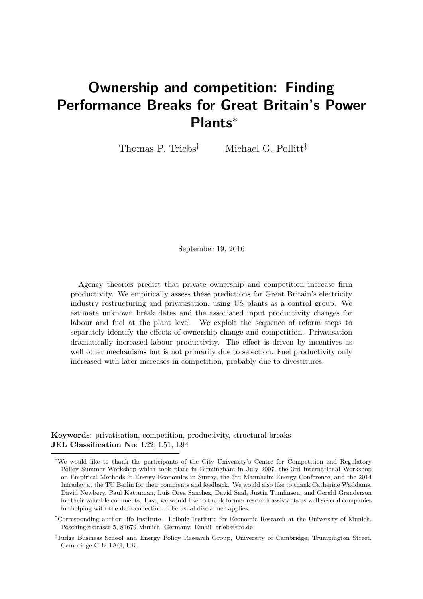# <span id="page-1-0"></span>**Ownership and competition: Finding Performance Breaks for Great Britain's Power Plants**<sup>∗</sup>

Thomas P. Triebs<sup>†</sup> Michael G. Pollitt<sup>‡</sup>

September 19, 2016

Agency theories predict that private ownership and competition increase firm productivity. We empirically assess these predictions for Great Britain's electricity industry restructuring and privatisation, using US plants as a control group. We estimate unknown break dates and the associated input productivity changes for labour and fuel at the plant level. We exploit the sequence of reform steps to separately identify the effects of ownership change and competition. Privatisation dramatically increased labour productivity. The effect is driven by incentives as well other mechanisms but is not primarily due to selection. Fuel productivity only increased with later increases in competition, probably due to divestitures.

**Keywords**: privatisation, competition, productivity, structural breaks **JEL Classification No**: L22, L51, L94

<sup>∗</sup>We would like to thank the participants of the City University's Centre for Competition and Regulatory Policy Summer Workshop which took place in Birmingham in July 2007, the 3rd International Workshop on Empirical Methods in Energy Economics in Surrey, the 3rd Mannheim Energy Conference, and the 2014 Infraday at the TU Berlin for their comments and feedback. We would also like to thank Catherine Waddams, David Newbery, Paul Kattuman, Luis Orea Sanchez, David Saal, Justin Tumlinson, and Gerald Granderson for their valuable comments. Last, we would like to thank former research assistants as well several companies for helping with the data collection. The usual disclaimer applies.

<sup>†</sup>Corresponding author: ifo Institute - Leibniz Institute for Economic Research at the University of Munich, Poschingerstrasse 5, 81679 Munich, Germany. Email: triebs@ifo.de

<sup>‡</sup> Judge Business School and Energy Policy Research Group, University of Cambridge, Trumpington Street, Cambridge CB2 1AG, UK.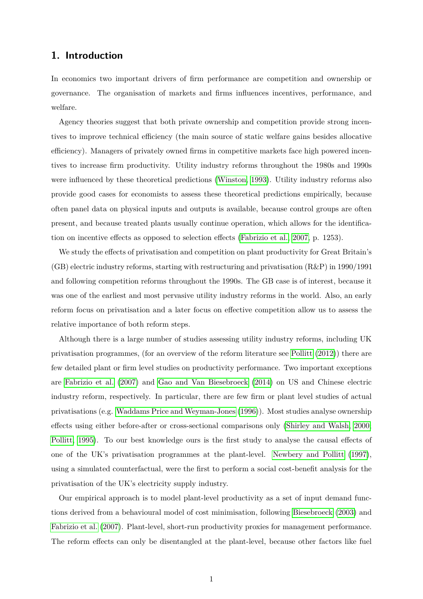## **1. Introduction**

In economics two important drivers of firm performance are competition and ownership or governance. The organisation of markets and firms influences incentives, performance, and welfare.

Agency theories suggest that both private ownership and competition provide strong incentives to improve technical efficiency (the main source of static welfare gains besides allocative efficiency). Managers of privately owned firms in competitive markets face high powered incentives to increase firm productivity. Utility industry reforms throughout the 1980s and 1990s were influenced by these theoretical predictions [\(Winston, 1993\)](#page-28-0). Utility industry reforms also provide good cases for economists to assess these theoretical predictions empirically, because often panel data on physical inputs and outputs is available, because control groups are often present, and because treated plants usually continue operation, which allows for the identification on incentive effects as opposed to selection effects [\(Fabrizio et al., 2007,](#page-26-0) p. 1253).

We study the effects of privatisation and competition on plant productivity for Great Britain's (GB) electric industry reforms, starting with restructuring and privatisation (R&P) in 1990/1991 and following competition reforms throughout the 1990s. The GB case is of interest, because it was one of the earliest and most pervasive utility industry reforms in the world. Also, an early reform focus on privatisation and a later focus on effective competition allow us to assess the relative importance of both reform steps.

Although there is a large number of studies assessing utility industry reforms, including UK privatisation programmes, (for an overview of the reform literature see [Pollitt](#page-28-1) [\(2012\)](#page-28-1)) there are few detailed plant or firm level studies on productivity performance. Two important exceptions are [Fabrizio et al.](#page-26-0) [\(2007\)](#page-26-0) and [Gao and Van Biesebroeck](#page-26-1) [\(2014\)](#page-26-1) on US and Chinese electric industry reform, respectively. In particular, there are few firm or plant level studies of actual privatisations (e.g. [Waddams Price and Weyman-Jones](#page-28-2) [\(1996\)](#page-28-2)). Most studies analyse ownership effects using either before-after or cross-sectional comparisons only [\(Shirley and Walsh, 2000;](#page-28-3) [Pollitt, 1995\)](#page-27-0). To our best knowledge ours is the first study to analyse the causal effects of one of the UK's privatisation programmes at the plant-level. [Newbery and Pollitt](#page-27-1) [\(1997\)](#page-27-1), using a simulated counterfactual, were the first to perform a social cost-benefit analysis for the privatisation of the UK's electricity supply industry.

Our empirical approach is to model plant-level productivity as a set of input demand functions derived from a behavioural model of cost minimisation, following [Biesebroeck](#page-26-2) [\(2003\)](#page-26-2) and [Fabrizio et al.](#page-26-0) [\(2007\)](#page-26-0). Plant-level, short-run productivity proxies for management performance. The reform effects can only be disentangled at the plant-level, because other factors like fuel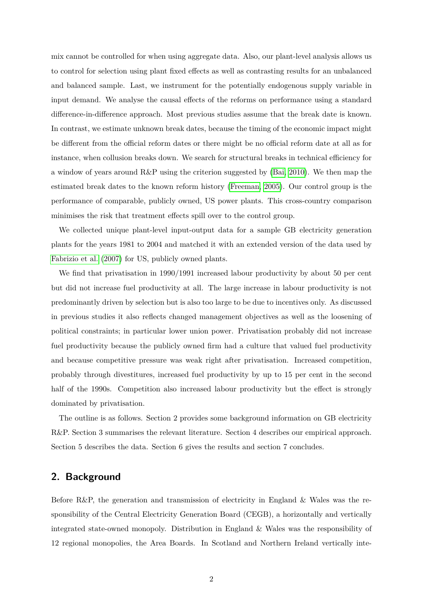mix cannot be controlled for when using aggregate data. Also, our plant-level analysis allows us to control for selection using plant fixed effects as well as contrasting results for an unbalanced and balanced sample. Last, we instrument for the potentially endogenous supply variable in input demand. We analyse the causal effects of the reforms on performance using a standard difference-in-difference approach. Most previous studies assume that the break date is known. In contrast, we estimate unknown break dates, because the timing of the economic impact might be different from the official reform dates or there might be no official reform date at all as for instance, when collusion breaks down. We search for structural breaks in technical efficiency for a window of years around R&P using the criterion suggested by [\(Bai, 2010\)](#page-26-3). We then map the estimated break dates to the known reform history [\(Freeman, 2005\)](#page-26-4). Our control group is the performance of comparable, publicly owned, US power plants. This cross-country comparison minimises the risk that treatment effects spill over to the control group.

We collected unique plant-level input-output data for a sample GB electricity generation plants for the years 1981 to 2004 and matched it with an extended version of the data used by [Fabrizio et al.](#page-26-0) [\(2007\)](#page-26-0) for US, publicly owned plants.

We find that privatisation in 1990/1991 increased labour productivity by about 50 per cent but did not increase fuel productivity at all. The large increase in labour productivity is not predominantly driven by selection but is also too large to be due to incentives only. As discussed in previous studies it also reflects changed management objectives as well as the loosening of political constraints; in particular lower union power. Privatisation probably did not increase fuel productivity because the publicly owned firm had a culture that valued fuel productivity and because competitive pressure was weak right after privatisation. Increased competition, probably through divestitures, increased fuel productivity by up to 15 per cent in the second half of the 1990s. Competition also increased labour productivity but the effect is strongly dominated by privatisation.

The outline is as follows. Section 2 provides some background information on GB electricity R&P. Section 3 summarises the relevant literature. Section 4 describes our empirical approach. Section 5 describes the data. Section 6 gives the results and section 7 concludes.

### **2. Background**

Before R&P, the generation and transmission of electricity in England & Wales was the responsibility of the Central Electricity Generation Board (CEGB), a horizontally and vertically integrated state-owned monopoly. Distribution in England & Wales was the responsibility of 12 regional monopolies, the Area Boards. In Scotland and Northern Ireland vertically inte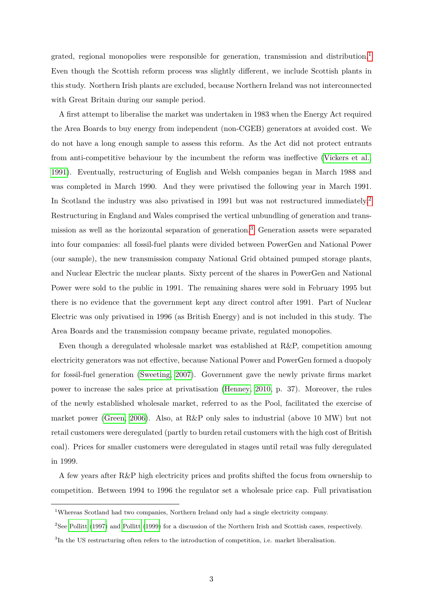grated, regional monopolies were responsible for generation, transmission and distribution.[1](#page-1-0) Even though the Scottish reform process was slightly different, we include Scottish plants in this study. Northern Irish plants are excluded, because Northern Ireland was not interconnected with Great Britain during our sample period.

A first attempt to liberalise the market was undertaken in 1983 when the Energy Act required the Area Boards to buy energy from independent (non-CGEB) generators at avoided cost. We do not have a long enough sample to assess this reform. As the Act did not protect entrants from anti-competitive behaviour by the incumbent the reform was ineffective [\(Vickers et al.,](#page-28-4) [1991\)](#page-28-4). Eventually, restructuring of English and Welsh companies began in March 1988 and was completed in March 1990. And they were privatised the following year in March 1991. In Scotland the industry was also privatised in 1991 but was not restructured immediately.<sup>[2](#page-1-0)</sup> Restructuring in England and Wales comprised the vertical unbundling of generation and transmission as well as the horizontal separation of generation.[3](#page-1-0) Generation assets were separated into four companies: all fossil-fuel plants were divided between PowerGen and National Power (our sample), the new transmission company National Grid obtained pumped storage plants, and Nuclear Electric the nuclear plants. Sixty percent of the shares in PowerGen and National Power were sold to the public in 1991. The remaining shares were sold in February 1995 but there is no evidence that the government kept any direct control after 1991. Part of Nuclear Electric was only privatised in 1996 (as British Energy) and is not included in this study. The Area Boards and the transmission company became private, regulated monopolies.

Even though a deregulated wholesale market was established at R&P, competition amoung electricity generators was not effective, because National Power and PowerGen formed a duopoly for fossil-fuel generation [\(Sweeting, 2007\)](#page-28-5). Government gave the newly private firms market power to increase the sales price at privatisation [\(Henney, 2010,](#page-27-2) p. 37). Moreover, the rules of the newly established wholesale market, referred to as the Pool, facilitated the exercise of market power [\(Green, 2006\)](#page-26-5). Also, at R&P only sales to industrial (above 10 MW) but not retail customers were deregulated (partly to burden retail customers with the high cost of British coal). Prices for smaller customers were deregulated in stages until retail was fully deregulated in 1999.

A few years after R&P high electricity prices and profits shifted the focus from ownership to competition. Between 1994 to 1996 the regulator set a wholesale price cap. Full privatisation

<sup>1</sup>Whereas Scotland had two companies, Northern Ireland only had a single electricity company.

<sup>&</sup>lt;sup>2</sup>See [Pollitt](#page-28-7) [\(1997\)](#page-28-6) and Pollitt [\(1999\)](#page-28-7) for a discussion of the Northern Irish and Scottish cases, respectively.

<sup>3</sup> In the US restructuring often refers to the introduction of competition, i.e. market liberalisation.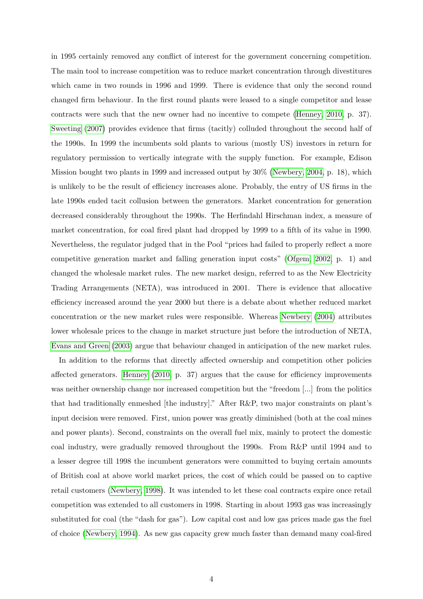in 1995 certainly removed any conflict of interest for the government concerning competition. The main tool to increase competition was to reduce market concentration through divestitures which came in two rounds in 1996 and 1999. There is evidence that only the second round changed firm behaviour. In the first round plants were leased to a single competitor and lease contracts were such that the new owner had no incentive to compete [\(Henney, 2010,](#page-27-2) p. 37). [Sweeting](#page-28-5) [\(2007\)](#page-28-5) provides evidence that firms (tacitly) colluded throughout the second half of the 1990s. In 1999 the incumbents sold plants to various (mostly US) investors in return for regulatory permission to vertically integrate with the supply function. For example, Edison Mission bought two plants in 1999 and increased output by 30% [\(Newbery, 2004,](#page-27-3) p. 18), which is unlikely to be the result of efficiency increases alone. Probably, the entry of US firms in the late 1990s ended tacit collusion between the generators. Market concentration for generation decreased considerably throughout the 1990s. The Herfindahl Hirschman index, a measure of market concentration, for coal fired plant had dropped by 1999 to a fifth of its value in 1990. Nevertheless, the regulator judged that in the Pool "prices had failed to properly reflect a more competitive generation market and falling generation input costs" [\(Ofgem, 2002,](#page-27-4) p. 1) and changed the wholesale market rules. The new market design, referred to as the New Electricity Trading Arrangements (NETA), was introduced in 2001. There is evidence that allocative efficiency increased around the year 2000 but there is a debate about whether reduced market concentration or the new market rules were responsible. Whereas [Newbery](#page-27-3) [\(2004\)](#page-27-3) attributes lower wholesale prices to the change in market structure just before the introduction of NETA, [Evans and Green](#page-26-6) [\(2003\)](#page-26-6) argue that behaviour changed in anticipation of the new market rules.

In addition to the reforms that directly affected ownership and competition other policies affected generators. [Henney](#page-27-2) [\(2010,](#page-27-2) p. 37) argues that the cause for efficiency improvements was neither ownership change nor increased competition but the "freedom [...] from the politics that had traditionally enmeshed [the industry]." After R&P, two major constraints on plant's input decision were removed. First, union power was greatly diminished (both at the coal mines and power plants). Second, constraints on the overall fuel mix, mainly to protect the domestic coal industry, were gradually removed throughout the 1990s. From R&P until 1994 and to a lesser degree till 1998 the incumbent generators were committed to buying certain amounts of British coal at above world market prices, the cost of which could be passed on to captive retail customers [\(Newbery, 1998\)](#page-27-5). It was intended to let these coal contracts expire once retail competition was extended to all customers in 1998. Starting in about 1993 gas was increasingly substituted for coal (the "dash for gas"). Low capital cost and low gas prices made gas the fuel of choice [\(Newbery, 1994\)](#page-27-6). As new gas capacity grew much faster than demand many coal-fired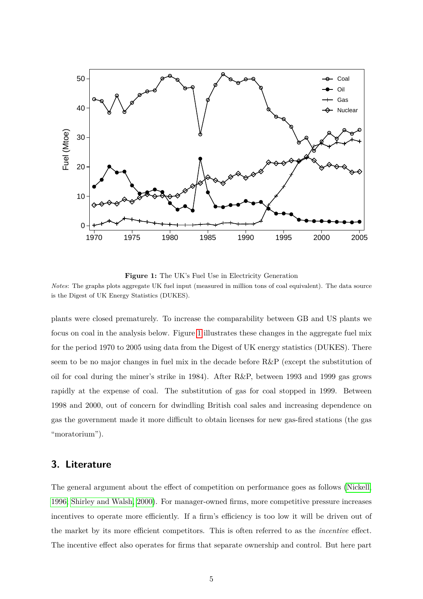<span id="page-6-0"></span>

Figure 1: The UK's Fuel Use in Electricity Generation *Notes*: The graphs plots aggregate UK fuel input (measured in million tons of coal equivalent). The data source is the Digest of UK Energy Statistics (DUKES).

plants were closed prematurely. To increase the comparability between GB and US plants we focus on coal in the analysis below. Figure [1](#page-6-0) illustrates these changes in the aggregate fuel mix for the period 1970 to 2005 using data from the Digest of UK energy statistics (DUKES). There seem to be no major changes in fuel mix in the decade before R&P (except the substitution of oil for coal during the miner's strike in 1984). After R&P, between 1993 and 1999 gas grows rapidly at the expense of coal. The substitution of gas for coal stopped in 1999. Between 1998 and 2000, out of concern for dwindling British coal sales and increasing dependence on gas the government made it more difficult to obtain licenses for new gas-fired stations (the gas "moratorium").

# **3. Literature**

The general argument about the effect of competition on performance goes as follows [\(Nickell,](#page-27-7) [1996;](#page-27-7) [Shirley and Walsh, 2000\)](#page-28-3). For manager-owned firms, more competitive pressure increases incentives to operate more efficiently. If a firm's efficiency is too low it will be driven out of the market by its more efficient competitors. This is often referred to as the *incentive* effect. The incentive effect also operates for firms that separate ownership and control. But here part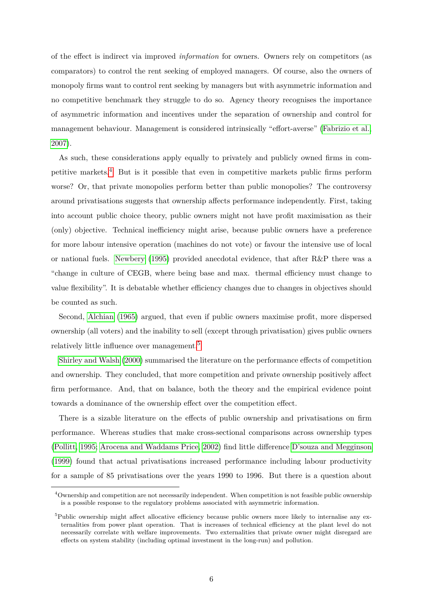of the effect is indirect via improved *information* for owners. Owners rely on competitors (as comparators) to control the rent seeking of employed managers. Of course, also the owners of monopoly firms want to control rent seeking by managers but with asymmetric information and no competitive benchmark they struggle to do so. Agency theory recognises the importance of asymmetric information and incentives under the separation of ownership and control for management behaviour. Management is considered intrinsically "effort-averse" [\(Fabrizio et al.,](#page-26-0) [2007\)](#page-26-0).

As such, these considerations apply equally to privately and publicly owned firms in competitive markets.[4](#page-1-0) But is it possible that even in competitive markets public firms perform worse? Or, that private monopolies perform better than public monopolies? The controversy around privatisations suggests that ownership affects performance independently. First, taking into account public choice theory, public owners might not have profit maximisation as their (only) objective. Technical inefficiency might arise, because public owners have a preference for more labour intensive operation (machines do not vote) or favour the intensive use of local or national fuels. [Newbery](#page-27-8) [\(1995\)](#page-27-8) provided anecdotal evidence, that after R&P there was a "change in culture of CEGB, where being base and max. thermal efficiency must change to value flexibility". It is debatable whether efficiency changes due to changes in objectives should be counted as such.

Second, [Alchian](#page-26-7) [\(1965\)](#page-26-7) argued, that even if public owners maximise profit, more dispersed ownership (all voters) and the inability to sell (except through privatisation) gives public owners relatively little influence over management.[5](#page-1-0)

[Shirley and Walsh](#page-28-3) [\(2000\)](#page-28-3) summarised the literature on the performance effects of competition and ownership. They concluded, that more competition and private ownership positively affect firm performance. And, that on balance, both the theory and the empirical evidence point towards a dominance of the ownership effect over the competition effect.

There is a sizable literature on the effects of public ownership and privatisations on firm performance. Whereas studies that make cross-sectional comparisons across ownership types [\(Pollitt, 1995;](#page-27-0) [Arocena and Waddams Price, 2002\)](#page-26-8) find little difference [D'souza and Megginson](#page-26-9) [\(1999\)](#page-26-9) found that actual privatisations increased performance including labour productivity for a sample of 85 privatisations over the years 1990 to 1996. But there is a question about

<sup>4</sup>Ownership and competition are not necessarily independent. When competition is not feasible public ownership is a possible response to the regulatory problems associated with asymmetric information.

<sup>&</sup>lt;sup>5</sup>Public ownership might affect allocative efficiency because public owners more likely to internalise any externalities from power plant operation. That is increases of technical efficiency at the plant level do not necessarily correlate with welfare improvements. Two externalities that private owner might disregard are effects on system stability (including optimal investment in the long-run) and pollution.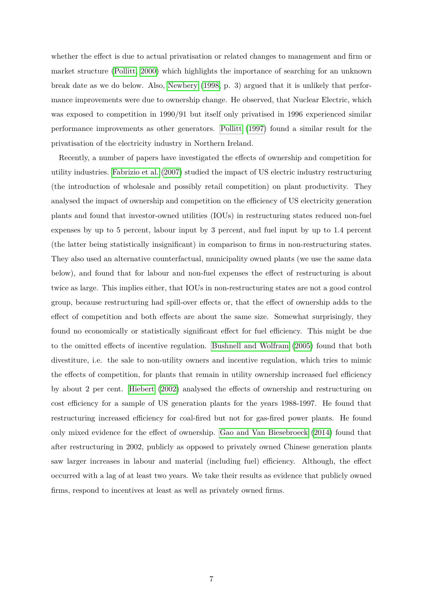whether the effect is due to actual privatisation or related changes to management and firm or market structure [\(Pollitt, 2000\)](#page-28-8) which highlights the importance of searching for an unknown break date as we do below. Also, [Newbery](#page-27-5) [\(1998,](#page-27-5) p. 3) argued that it is unlikely that performance improvements were due to ownership change. He observed, that Nuclear Electric, which was exposed to competition in 1990/91 but itself only privatised in 1996 experienced similar performance improvements as other generators. [Pollitt](#page-28-6) [\(1997\)](#page-28-6) found a similar result for the privatisation of the electricity industry in Northern Ireland.

Recently, a number of papers have investigated the effects of ownership and competition for utility industries. [Fabrizio et al.](#page-26-0) [\(2007\)](#page-26-0) studied the impact of US electric industry restructuring (the introduction of wholesale and possibly retail competition) on plant productivity. They analysed the impact of ownership and competition on the efficiency of US electricity generation plants and found that investor-owned utilities (IOUs) in restructuring states reduced non-fuel expenses by up to 5 percent, labour input by 3 percent, and fuel input by up to 1.4 percent (the latter being statistically insignificant) in comparison to firms in non-restructuring states. They also used an alternative counterfactual, municipality owned plants (we use the same data below), and found that for labour and non-fuel expenses the effect of restructuring is about twice as large. This implies either, that IOUs in non-restructuring states are not a good control group, because restructuring had spill-over effects or, that the effect of ownership adds to the effect of competition and both effects are about the same size. Somewhat surprisingly, they found no economically or statistically significant effect for fuel efficiency. This might be due to the omitted effects of incentive regulation. [Bushnell and Wolfram](#page-26-10) [\(2005\)](#page-26-10) found that both divestiture, i.e. the sale to non-utility owners and incentive regulation, which tries to mimic the effects of competition, for plants that remain in utility ownership increased fuel efficiency by about 2 per cent. [Hiebert](#page-27-9) [\(2002\)](#page-27-9) analysed the effects of ownership and restructuring on cost efficiency for a sample of US generation plants for the years 1988-1997. He found that restructuring increased efficiency for coal-fired but not for gas-fired power plants. He found only mixed evidence for the effect of ownership. [Gao and Van Biesebroeck](#page-26-1) [\(2014\)](#page-26-1) found that after restructuring in 2002, publicly as opposed to privately owned Chinese generation plants saw larger increases in labour and material (including fuel) efficiency. Although, the effect occurred with a lag of at least two years. We take their results as evidence that publicly owned firms, respond to incentives at least as well as privately owned firms.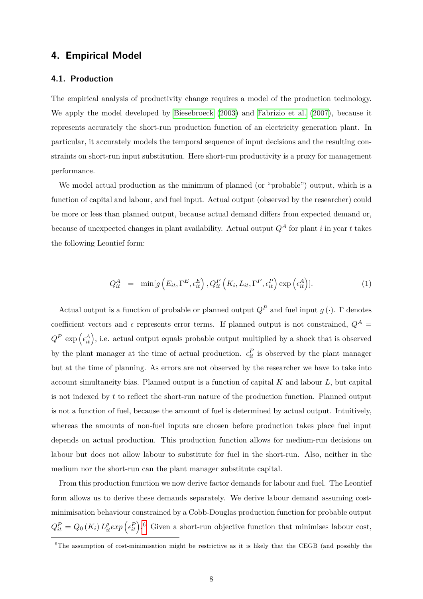### **4. Empirical Model**

#### **4.1. Production**

The empirical analysis of productivity change requires a model of the production technology. We apply the model developed by [Biesebroeck](#page-26-2) [\(2003\)](#page-26-2) and [Fabrizio et al.](#page-26-0) [\(2007\)](#page-26-0), because it represents accurately the short-run production function of an electricity generation plant. In particular, it accurately models the temporal sequence of input decisions and the resulting constraints on short-run input substitution. Here short-run productivity is a proxy for management performance.

We model actual production as the minimum of planned (or "probable") output, which is a function of capital and labour, and fuel input. Actual output (observed by the researcher) could be more or less than planned output, because actual demand differs from expected demand or, because of unexpected changes in plant availability. Actual output  $Q^A$  for plant *i* in year *t* takes the following Leontief form:

$$
Q_{it}^{A} = \min[g\left(E_{it}, \Gamma^{E}, \epsilon_{it}^{E}\right), Q_{it}^{P}\left(K_{i}, L_{it}, \Gamma^{P}, \epsilon_{it}^{P}\right) \exp\left(\epsilon_{it}^{A}\right)]. \tag{1}
$$

Actual output is a function of probable or planned output  $Q^P$  and fuel input  $q(\cdot)$ .  $\Gamma$  denotes coefficient vectors and  $\epsilon$  represents error terms. If planned output is not constrained,  $Q^A$  =  $Q^P$  exp  $(\epsilon_{it}^A)$ , i.e. actual output equals probable output multiplied by a shock that is observed by the plant manager at the time of actual production.  $\epsilon_{it}^P$  is observed by the plant manager but at the time of planning. As errors are not observed by the researcher we have to take into account simultaneity bias. Planned output is a function of capital *K* and labour *L*, but capital is not indexed by *t* to reflect the short-run nature of the production function. Planned output is not a function of fuel, because the amount of fuel is determined by actual output. Intuitively, whereas the amounts of non-fuel inputs are chosen before production takes place fuel input depends on actual production. This production function allows for medium-run decisions on labour but does not allow labour to substitute for fuel in the short-run. Also, neither in the medium nor the short-run can the plant manager substitute capital.

From this production function we now derive factor demands for labour and fuel. The Leontief form allows us to derive these demands separately. We derive labour demand assuming costminimisation behaviour constrained by a Cobb-Douglas production function for probable output  $Q_{it}^{P} = Q_0(K_i) L_{it}^{\rho} exp\left(\epsilon_{it}^{P}\right)$ . Given a short-run objective function that minimises labour cost,

 ${}^{6}$ The assumption of cost-minimisation might be restrictive as it is likely that the CEGB (and possibly the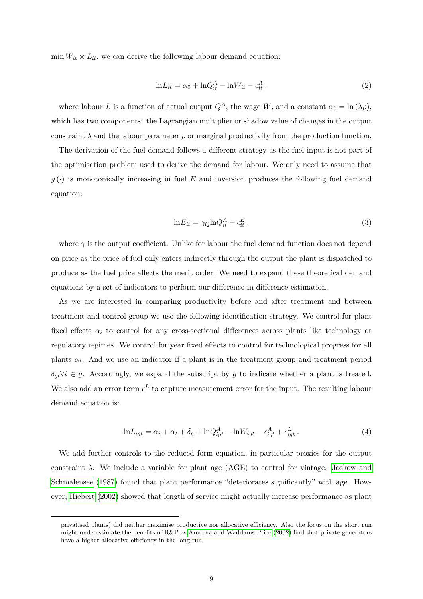$\min W_{it} \times L_{it}$ , we can derive the following labour demand equation:

$$
\ln L_{it} = \alpha_0 + \ln Q_{it}^A - \ln W_{it} - \epsilon_{it}^A , \qquad (2)
$$

where labour *L* is a function of actual output  $Q^A$ , the wage *W*, and a constant  $\alpha_0 = \ln(\lambda \rho)$ , which has two components: the Lagrangian multiplier or shadow value of changes in the output constraint  $\lambda$  and the labour parameter  $\rho$  or marginal productivity from the production function.

The derivation of the fuel demand follows a different strategy as the fuel input is not part of the optimisation problem used to derive the demand for labour. We only need to assume that  $g(\cdot)$  is monotonically increasing in fuel *E* and inversion produces the following fuel demand equation:

$$
\ln E_{it} = \gamma Q \ln Q_{it}^A + \epsilon_{it}^E , \qquad (3)
$$

where  $\gamma$  is the output coefficient. Unlike for labour the fuel demand function does not depend on price as the price of fuel only enters indirectly through the output the plant is dispatched to produce as the fuel price affects the merit order. We need to expand these theoretical demand equations by a set of indicators to perform our difference-in-difference estimation.

As we are interested in comparing productivity before and after treatment and between treatment and control group we use the following identification strategy. We control for plant fixed effects  $\alpha_i$  to control for any cross-sectional differences across plants like technology or regulatory regimes. We control for year fixed effects to control for technological progress for all plants  $\alpha_t$ . And we use an indicator if a plant is in the treatment group and treatment period  $\delta_{qt}\forall i \in g$ . Accordingly, we expand the subscript by *g* to indicate whether a plant is treated. We also add an error term  $\epsilon^L$  to capture measurement error for the input. The resulting labour demand equation is:

$$
\ln L_{igt} = \alpha_i + \alpha_t + \delta_g + \ln Q_{igt}^A - \ln W_{igt} - \epsilon_{igt}^A + \epsilon_{igt}^L. \tag{4}
$$

We add further controls to the reduced form equation, in particular proxies for the output constraint  $\lambda$ . We include a variable for plant age (AGE) to control for vintage. [Joskow and](#page-27-10) [Schmalensee](#page-27-10) [\(1987\)](#page-27-10) found that plant performance "deteriorates significantly" with age. However, [Hiebert](#page-27-9) [\(2002\)](#page-27-9) showed that length of service might actually increase performance as plant

privatised plants) did neither maximise productive nor allocative efficiency. Also the focus on the short run might underestimate the benefits of R&P as [Arocena and Waddams Price](#page-26-8) [\(2002\)](#page-26-8) find that private generators have a higher allocative efficiency in the long run.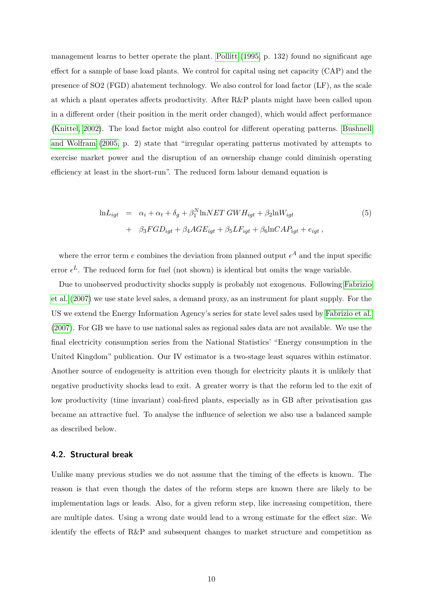management learns to better operate the plant. [Pollitt](#page-27-0) [\(1995,](#page-27-0) p. 132) found no significant age effect for a sample of base load plants. We control for capital using net capacity (CAP) and the presence of SO2 (FGD) abatement technology. We also control for load factor (LF), as the scale at which a plant operates affects productivity. After R&P plants might have been called upon in a different order (their position in the merit order changed), which would affect performance [\(Knittel, 2002\)](#page-27-11). The load factor might also control for different operating patterns. [Bushnell](#page-26-10) [and Wolfram](#page-26-10) [\(2005,](#page-26-10) p. 2) state that "irregular operating patterns motivated by attempts to exercise market power and the disruption of an ownership change could diminish operating efficiency at least in the short-run". The reduced form labour demand equation is

<span id="page-11-0"></span>
$$
\ln L_{igt} = \alpha_i + \alpha_t + \delta_g + \beta_1^N \ln NET \ GW H_{igt} + \beta_2 \ln W_{igt}
$$
  
+ 
$$
\beta_3 FGD_{igt} + \beta_4 AGE_{igt} + \beta_5 LF_{igt} + \beta_6 \ln CAP_{igt} + e_{igt} ,
$$
 (5)

where the error term  $e$  combines the deviation from planned output  $\epsilon^A$  and the input specific error  $\epsilon^L$ . The reduced form for fuel (not shown) is identical but omits the wage variable.

Due to unobserved productivity shocks supply is probably not exogenous. Following [Fabrizio](#page-26-0) [et al.](#page-26-0) [\(2007\)](#page-26-0) we use state level sales, a demand proxy, as an instrument for plant supply. For the US we extend the Energy Information Agency's series for state level sales used by [Fabrizio et al.](#page-26-0) [\(2007\)](#page-26-0). For GB we have to use national sales as regional sales data are not available. We use the final electricity consumption series from the National Statistics' "Energy consumption in the United Kingdom" publication. Our IV estimator is a two-stage least squares within estimator. Another source of endogeneity is attrition even though for electricity plants it is unlikely that negative productivity shocks lead to exit. A greater worry is that the reform led to the exit of low productivity (time invariant) coal-fired plants, especially as in GB after privatisation gas became an attractive fuel. To analyse the influence of selection we also use a balanced sample as described below.

#### **4.2. Structural break**

Unlike many previous studies we do not assume that the timing of the effects is known. The reason is that even though the dates of the reform steps are known there are likely to be implementation lags or leads. Also, for a given reform step, like increasing competition, there are multiple dates. Using a wrong date would lead to a wrong estimate for the effect size. We identify the effects of R&P and subsequent changes to market structure and competition as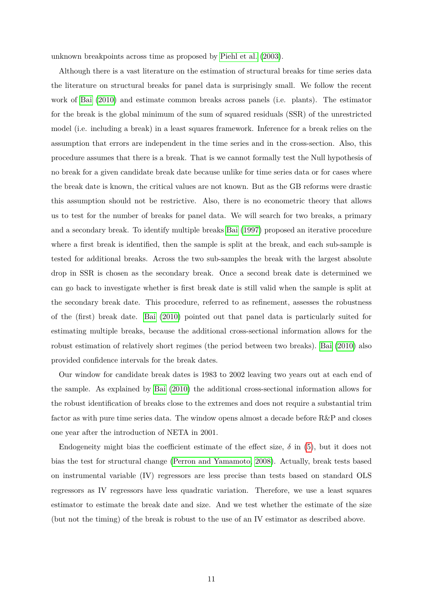unknown breakpoints across time as proposed by [Piehl et al.](#page-27-12) [\(2003\)](#page-27-12).

Although there is a vast literature on the estimation of structural breaks for time series data the literature on structural breaks for panel data is surprisingly small. We follow the recent work of [Bai](#page-26-3) [\(2010\)](#page-26-3) and estimate common breaks across panels (i.e. plants). The estimator for the break is the global minimum of the sum of squared residuals (SSR) of the unrestricted model (i.e. including a break) in a least squares framework. Inference for a break relies on the assumption that errors are independent in the time series and in the cross-section. Also, this procedure assumes that there is a break. That is we cannot formally test the Null hypothesis of no break for a given candidate break date because unlike for time series data or for cases where the break date is known, the critical values are not known. But as the GB reforms were drastic this assumption should not be restrictive. Also, there is no econometric theory that allows us to test for the number of breaks for panel data. We will search for two breaks, a primary and a secondary break. To identify multiple breaks [Bai](#page-26-11) [\(1997\)](#page-26-11) proposed an iterative procedure where a first break is identified, then the sample is split at the break, and each sub-sample is tested for additional breaks. Across the two sub-samples the break with the largest absolute drop in SSR is chosen as the secondary break. Once a second break date is determined we can go back to investigate whether is first break date is still valid when the sample is split at the secondary break date. This procedure, referred to as refinement, assesses the robustness of the (first) break date. [Bai](#page-26-3) [\(2010\)](#page-26-3) pointed out that panel data is particularly suited for estimating multiple breaks, because the additional cross-sectional information allows for the robust estimation of relatively short regimes (the period between two breaks). [Bai](#page-26-3) [\(2010\)](#page-26-3) also provided confidence intervals for the break dates.

Our window for candidate break dates is 1983 to 2002 leaving two years out at each end of the sample. As explained by [Bai](#page-26-3) [\(2010\)](#page-26-3) the additional cross-sectional information allows for the robust identification of breaks close to the extremes and does not require a substantial trim factor as with pure time series data. The window opens almost a decade before R&P and closes one year after the introduction of NETA in 2001.

Endogeneity might bias the coefficient estimate of the effect size,  $\delta$  in [\(5\)](#page-11-0), but it does not bias the test for structural change [\(Perron and Yamamoto, 2008\)](#page-27-13). Actually, break tests based on instrumental variable (IV) regressors are less precise than tests based on standard OLS regressors as IV regressors have less quadratic variation. Therefore, we use a least squares estimator to estimate the break date and size. And we test whether the estimate of the size (but not the timing) of the break is robust to the use of an IV estimator as described above.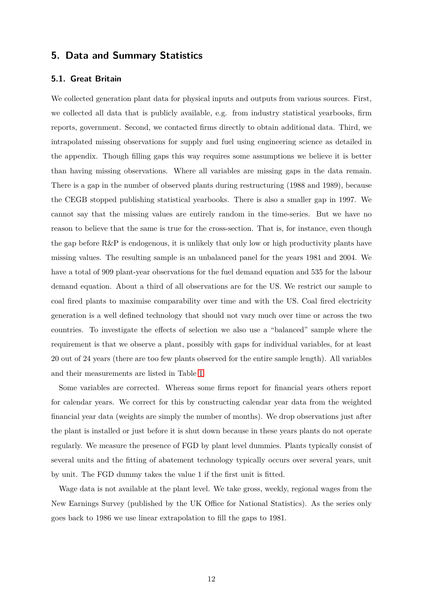# **5. Data and Summary Statistics**

#### **5.1. Great Britain**

We collected generation plant data for physical inputs and outputs from various sources. First, we collected all data that is publicly available, e.g. from industry statistical yearbooks, firm reports, government. Second, we contacted firms directly to obtain additional data. Third, we intrapolated missing observations for supply and fuel using engineering science as detailed in the appendix. Though filling gaps this way requires some assumptions we believe it is better than having missing observations. Where all variables are missing gaps in the data remain. There is a gap in the number of observed plants during restructuring (1988 and 1989), because the CEGB stopped publishing statistical yearbooks. There is also a smaller gap in 1997. We cannot say that the missing values are entirely random in the time-series. But we have no reason to believe that the same is true for the cross-section. That is, for instance, even though the gap before R&P is endogenous, it is unlikely that only low or high productivity plants have missing values. The resulting sample is an unbalanced panel for the years 1981 and 2004. We have a total of 909 plant-year observations for the fuel demand equation and 535 for the labour demand equation. About a third of all observations are for the US. We restrict our sample to coal fired plants to maximise comparability over time and with the US. Coal fired electricity generation is a well defined technology that should not vary much over time or across the two countries. To investigate the effects of selection we also use a "balanced" sample where the requirement is that we observe a plant, possibly with gaps for individual variables, for at least 20 out of 24 years (there are too few plants observed for the entire sample length). All variables and their measurements are listed in Table [1.](#page-14-0)

Some variables are corrected. Whereas some firms report for financial years others report for calendar years. We correct for this by constructing calendar year data from the weighted financial year data (weights are simply the number of months). We drop observations just after the plant is installed or just before it is shut down because in these years plants do not operate regularly. We measure the presence of FGD by plant level dummies. Plants typically consist of several units and the fitting of abatement technology typically occurs over several years, unit by unit. The FGD dummy takes the value 1 if the first unit is fitted.

Wage data is not available at the plant level. We take gross, weekly, regional wages from the New Earnings Survey (published by the UK Office for National Statistics). As the series only goes back to 1986 we use linear extrapolation to fill the gaps to 1981.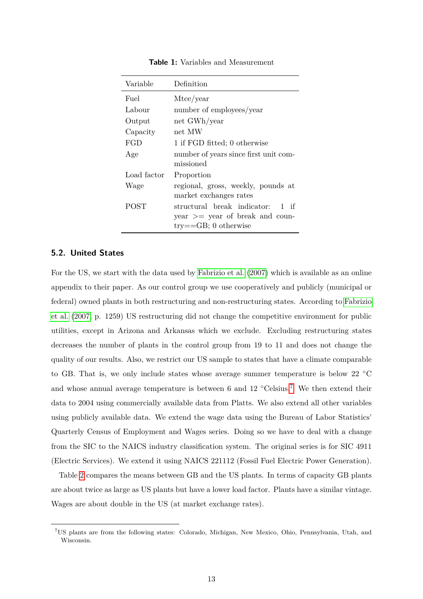| Variable    | Definition                                                                                          |  |  |  |
|-------------|-----------------------------------------------------------------------------------------------------|--|--|--|
| Fuel        | Mtce/year                                                                                           |  |  |  |
| Labour      | number of employees/year                                                                            |  |  |  |
| Output      | net GWh/year                                                                                        |  |  |  |
| Capacity    | net MW                                                                                              |  |  |  |
| FGD         | 1 if FGD fitted; 0 otherwise                                                                        |  |  |  |
| Age         | number of years since first unit com-<br>missioned                                                  |  |  |  |
| Load factor | Proportion                                                                                          |  |  |  |
| Wage        | regional, gross, weekly, pounds at<br>market exchanges rates                                        |  |  |  |
| <b>POST</b> | structural break indicator: 1 if<br>$year \geq year$ of break and coun-<br>$try = GB$ ; 0 otherwise |  |  |  |

<span id="page-14-0"></span>**Table 1:** Variables and Measurement

#### **5.2. United States**

For the US, we start with the data used by [Fabrizio et al.](#page-26-0) [\(2007\)](#page-26-0) which is available as an online appendix to their paper. As our control group we use cooperatively and publicly (municipal or federal) owned plants in both restructuring and non-restructuring states. According to [Fabrizio](#page-26-0) [et al.](#page-26-0) [\(2007,](#page-26-0) p. 1259) US restructuring did not change the competitive environment for public utilities, except in Arizona and Arkansas which we exclude. Excluding restructuring states decreases the number of plants in the control group from 19 to 11 and does not change the quality of our results. Also, we restrict our US sample to states that have a climate comparable to GB. That is, we only include states whose average summer temperature is below 22 ◦C and whose annual average temperature is between 6 and 12 °Celsius.<sup>[7](#page-1-0)</sup> We then extend their data to 2004 using commercially available data from Platts. We also extend all other variables using publicly available data. We extend the wage data using the Bureau of Labor Statistics' Quarterly Census of Employment and Wages series. Doing so we have to deal with a change from the SIC to the NAICS industry classification system. The original series is for SIC 4911 (Electric Services). We extend it using NAICS 221112 (Fossil Fuel Electric Power Generation).

Table [2](#page-15-0) compares the means between GB and the US plants. In terms of capacity GB plants are about twice as large as US plants but have a lower load factor. Plants have a similar vintage. Wages are about double in the US (at market exchange rates).

<sup>7</sup>US plants are from the following states: Colorado, Michigan, New Mexico, Ohio, Pennsylvania, Utah, and Wisconsin.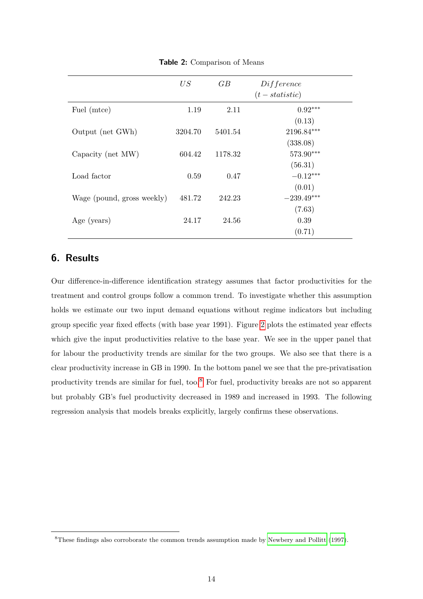|                            | US      | GB      | Differentce<br>$(t - statistic)$ |
|----------------------------|---------|---------|----------------------------------|
| Fuel (mtce)                | 1.19    | 2.11    | $0.92***$<br>(0.13)              |
| Output (net GWh)           | 3204.70 | 5401.54 | 2196.84***                       |
| Capacity (net MW)          | 604.42  | 1178.32 | (338.08)<br>573.90***            |
| Load factor                | 0.59    | 0.47    | (56.31)<br>$-0.12***$            |
| Wage (pound, gross weekly) | 481.72  | 242.23  | (0.01)<br>$-239.49***$           |
| Age (years)                | 24.17   | 24.56   | (7.63)<br>0.39                   |
|                            |         |         | (0.71)                           |

<span id="page-15-0"></span>**Table 2:** Comparison of Means

# **6. Results**

Our difference-in-difference identification strategy assumes that factor productivities for the treatment and control groups follow a common trend. To investigate whether this assumption holds we estimate our two input demand equations without regime indicators but including group specific year fixed effects (with base year 1991). Figure [2](#page-16-0) plots the estimated year effects which give the input productivities relative to the base year. We see in the upper panel that for labour the productivity trends are similar for the two groups. We also see that there is a clear productivity increase in GB in 1990. In the bottom panel we see that the pre-privatisation productivity trends are similar for fuel, too.[8](#page-1-0) For fuel, productivity breaks are not so apparent but probably GB's fuel productivity decreased in 1989 and increased in 1993. The following regression analysis that models breaks explicitly, largely confirms these observations.

<sup>8</sup>These findings also corroborate the common trends assumption made by [Newbery and Pollitt](#page-27-1) [\(1997\)](#page-27-1).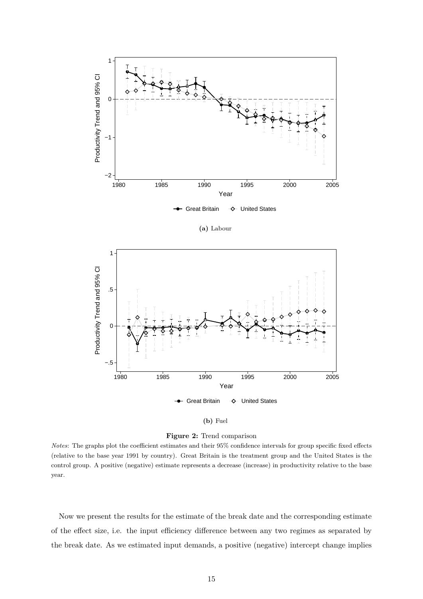<span id="page-16-0"></span>

**(a)** Labour



#### **(b)** Fuel

**Figure 2:** Trend comparison

*Notes*: The graphs plot the coefficient estimates and their 95% confidence intervals for group specific fixed effects (relative to the base year 1991 by country). Great Britain is the treatment group and the United States is the control group. A positive (negative) estimate represents a decrease (increase) in productivity relative to the base year.

Now we present the results for the estimate of the break date and the corresponding estimate of the effect size, i.e. the input efficiency difference between any two regimes as separated by the break date. As we estimated input demands, a positive (negative) intercept change implies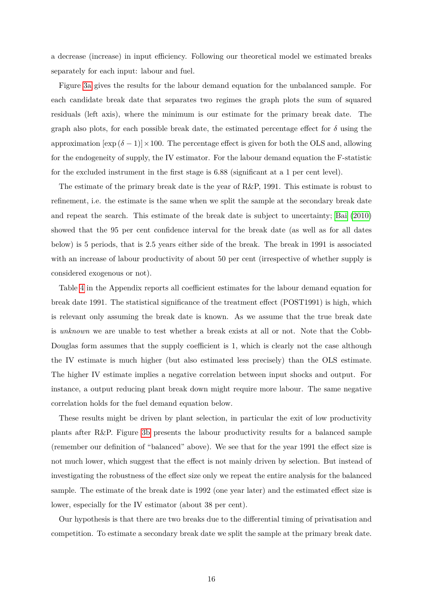a decrease (increase) in input efficiency. Following our theoretical model we estimated breaks separately for each input: labour and fuel.

Figure [3a](#page-19-0) gives the results for the labour demand equation for the unbalanced sample. For each candidate break date that separates two regimes the graph plots the sum of squared residuals (left axis), where the minimum is our estimate for the primary break date. The graph also plots, for each possible break date, the estimated percentage effect for  $\delta$  using the approximation  $[\exp(\delta - 1)] \times 100$ . The percentage effect is given for both the OLS and, allowing for the endogeneity of supply, the IV estimator. For the labour demand equation the F-statistic for the excluded instrument in the first stage is 6.88 (significant at a 1 per cent level).

The estimate of the primary break date is the year of R&P, 1991. This estimate is robust to refinement, i.e. the estimate is the same when we split the sample at the secondary break date and repeat the search. This estimate of the break date is subject to uncertainty; [Bai](#page-26-3) [\(2010\)](#page-26-3) showed that the 95 per cent confidence interval for the break date (as well as for all dates below) is 5 periods, that is 2.5 years either side of the break. The break in 1991 is associated with an increase of labour productivity of about 50 per cent (irrespective of whether supply is considered exogenous or not).

Table [4](#page-30-0) in the Appendix reports all coefficient estimates for the labour demand equation for break date 1991. The statistical significance of the treatment effect (POST1991) is high, which is relevant only assuming the break date is known. As we assume that the true break date is *unknown* we are unable to test whether a break exists at all or not. Note that the Cobb-Douglas form assumes that the supply coefficient is 1, which is clearly not the case although the IV estimate is much higher (but also estimated less precisely) than the OLS estimate. The higher IV estimate implies a negative correlation between input shocks and output. For instance, a output reducing plant break down might require more labour. The same negative correlation holds for the fuel demand equation below.

These results might be driven by plant selection, in particular the exit of low productivity plants after R&P. Figure [3b](#page-19-1) presents the labour productivity results for a balanced sample (remember our definition of "balanced" above). We see that for the year 1991 the effect size is not much lower, which suggest that the effect is not mainly driven by selection. But instead of investigating the robustness of the effect size only we repeat the entire analysis for the balanced sample. The estimate of the break date is 1992 (one year later) and the estimated effect size is lower, especially for the IV estimator (about 38 per cent).

Our hypothesis is that there are two breaks due to the differential timing of privatisation and competition. To estimate a secondary break date we split the sample at the primary break date.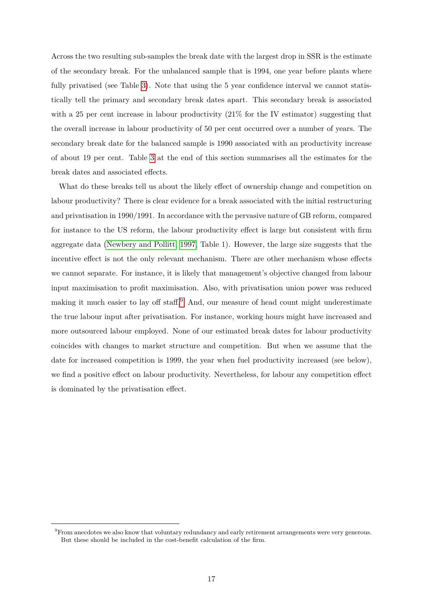Across the two resulting sub-samples the break date with the largest drop in SSR is the estimate of the secondary break. For the unbalanced sample that is 1994, one year before plants where fully privatised (see Table [3\)](#page-23-0). Note that using the 5 year confidence interval we cannot statistically tell the primary and secondary break dates apart. This secondary break is associated with a 25 per cent increase in labour productivity  $(21\%$  for the IV estimator) suggesting that the overall increase in labour productivity of 50 per cent occurred over a number of years. The secondary break date for the balanced sample is 1990 associated with an productivity increase of about 19 per cent. Table [3](#page-23-0) at the end of this section summarises all the estimates for the break dates and associated effects.

What do these breaks tell us about the likely effect of ownership change and competition on labour productivity? There is clear evidence for a break associated with the initial restructuring and privatisation in 1990/1991. In accordance with the pervasive nature of GB reform, compared for instance to the US reform, the labour productivity effect is large but consistent with firm aggregate data [\(Newbery and Pollitt, 1997,](#page-27-1) Table 1). However, the large size suggests that the incentive effect is not the only relevant mechanism. There are other mechanism whose effects we cannot separate. For instance, it is likely that management's objective changed from labour input maximisation to profit maximisation. Also, with privatisation union power was reduced making it much easier to lay off staff.<sup>[9](#page-1-0)</sup> And, our measure of head count might underestimate the true labour input after privatisation. For instance, working hours might have increased and more outsourced labour employed. None of our estimated break dates for labour productivity coincides with changes to market structure and competition. But when we assume that the date for increased competition is 1999, the year when fuel productivity increased (see below), we find a positive effect on labour productivity. Nevertheless, for labour any competition effect is dominated by the privatisation effect.

 $^{9}$ From anecdotes we also know that voluntary redundancy and early retirement arrangements were very generous. But these should be included in the cost-benefit calculation of the firm.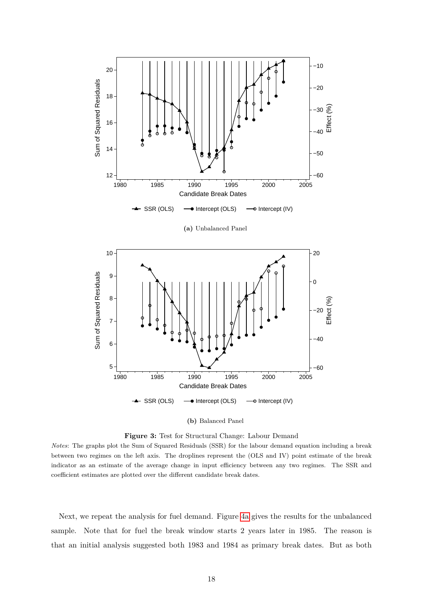<span id="page-19-0"></span>

**(a)** Unbalanced Panel

<span id="page-19-1"></span>

#### **(b)** Balanced Panel



*Notes*: The graphs plot the Sum of Squared Residuals (SSR) for the labour demand equation including a break between two regimes on the left axis. The droplines represent the (OLS and IV) point estimate of the break indicator as an estimate of the average change in input efficiency between any two regimes. The SSR and coefficient estimates are plotted over the different candidate break dates.

Next, we repeat the analysis for fuel demand. Figure [4a](#page-22-0) gives the results for the unbalanced sample. Note that for fuel the break window starts 2 years later in 1985. The reason is that an initial analysis suggested both 1983 and 1984 as primary break dates. But as both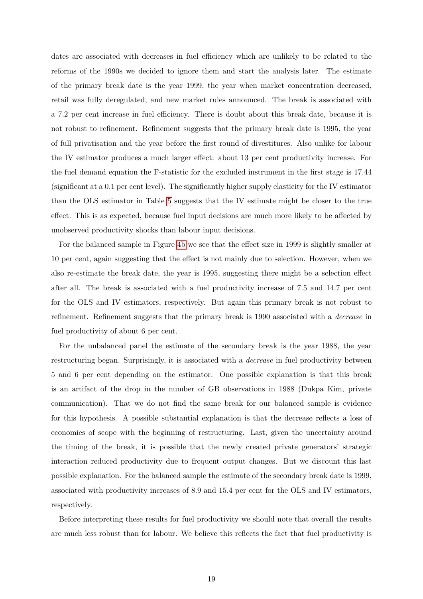dates are associated with decreases in fuel efficiency which are unlikely to be related to the reforms of the 1990s we decided to ignore them and start the analysis later. The estimate of the primary break date is the year 1999, the year when market concentration decreased, retail was fully deregulated, and new market rules announced. The break is associated with a 7.2 per cent increase in fuel efficiency. There is doubt about this break date, because it is not robust to refinement. Refinement suggests that the primary break date is 1995, the year of full privatisation and the year before the first round of divestitures. Also unlike for labour the IV estimator produces a much larger effect: about 13 per cent productivity increase. For the fuel demand equation the F-statistic for the excluded instrument in the first stage is 17.44 (significant at a 0.1 per cent level). The significantly higher supply elasticity for the IV estimator than the OLS estimator in Table [5](#page-31-0) suggests that the IV estimate might be closer to the true effect. This is as expected, because fuel input decisions are much more likely to be affected by unobserved productivity shocks than labour input decisions.

For the balanced sample in Figure [4b](#page-22-1) we see that the effect size in 1999 is slightly smaller at 10 per cent, again suggesting that the effect is not mainly due to selection. However, when we also re-estimate the break date, the year is 1995, suggesting there might be a selection effect after all. The break is associated with a fuel productivity increase of 7.5 and 14.7 per cent for the OLS and IV estimators, respectively. But again this primary break is not robust to refinement. Refinement suggests that the primary break is 1990 associated with a *decrease* in fuel productivity of about 6 per cent.

For the unbalanced panel the estimate of the secondary break is the year 1988, the year restructuring began. Surprisingly, it is associated with a *decrease* in fuel productivity between 5 and 6 per cent depending on the estimator. One possible explanation is that this break is an artifact of the drop in the number of GB observations in 1988 (Dukpa Kim, private communication). That we do not find the same break for our balanced sample is evidence for this hypothesis. A possible substantial explanation is that the decrease reflects a loss of economies of scope with the beginning of restructuring. Last, given the uncertainty around the timing of the break, it is possible that the newly created private generators' strategic interaction reduced productivity due to frequent output changes. But we discount this last possible explanation. For the balanced sample the estimate of the secondary break date is 1999, associated with productivity increases of 8.9 and 15.4 per cent for the OLS and IV estimators, respectively.

Before interpreting these results for fuel productivity we should note that overall the results are much less robust than for labour. We believe this reflects the fact that fuel productivity is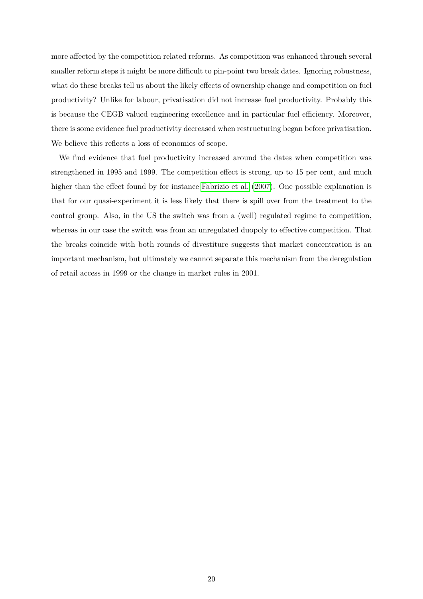more affected by the competition related reforms. As competition was enhanced through several smaller reform steps it might be more difficult to pin-point two break dates. Ignoring robustness, what do these breaks tell us about the likely effects of ownership change and competition on fuel productivity? Unlike for labour, privatisation did not increase fuel productivity. Probably this is because the CEGB valued engineering excellence and in particular fuel efficiency. Moreover, there is some evidence fuel productivity decreased when restructuring began before privatisation. We believe this reflects a loss of economies of scope.

We find evidence that fuel productivity increased around the dates when competition was strengthened in 1995 and 1999. The competition effect is strong, up to 15 per cent, and much higher than the effect found by for instance [Fabrizio et al.](#page-26-0) [\(2007\)](#page-26-0). One possible explanation is that for our quasi-experiment it is less likely that there is spill over from the treatment to the control group. Also, in the US the switch was from a (well) regulated regime to competition, whereas in our case the switch was from an unregulated duopoly to effective competition. That the breaks coincide with both rounds of divestiture suggests that market concentration is an important mechanism, but ultimately we cannot separate this mechanism from the deregulation of retail access in 1999 or the change in market rules in 2001.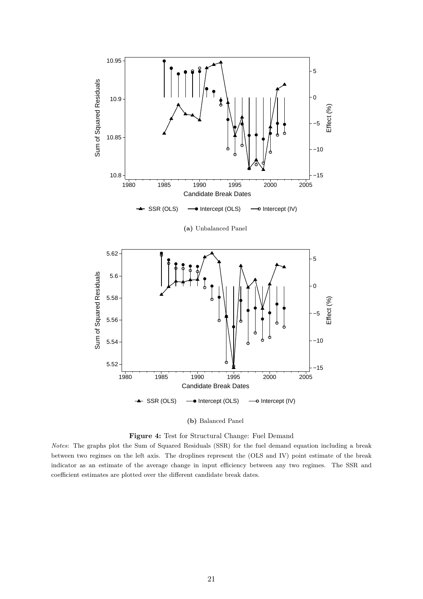<span id="page-22-1"></span><span id="page-22-0"></span>





*Notes*: The graphs plot the Sum of Squared Residuals (SSR) for the fuel demand equation including a break between two regimes on the left axis. The droplines represent the (OLS and IV) point estimate of the break indicator as an estimate of the average change in input efficiency between any two regimes. The SSR and coefficient estimates are plotted over the different candidate break dates.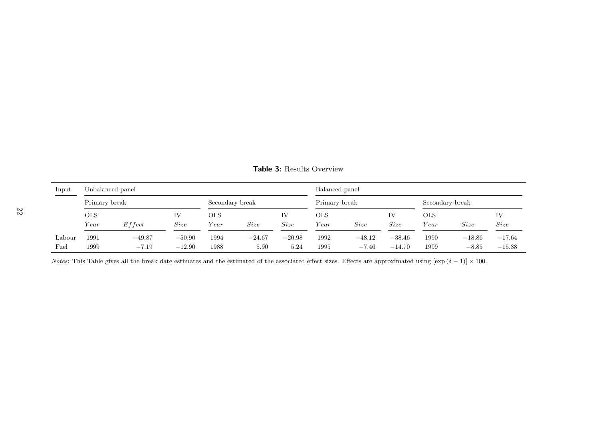| Input           | Unbalanced panel |            |                 |            |               |          | Balanced panel |                 |          |      |          |          |
|-----------------|------------------|------------|-----------------|------------|---------------|----------|----------------|-----------------|----------|------|----------|----------|
|                 | Primary break    |            | Secondary break |            | Primary break |          |                | Secondary break |          |      |          |          |
|                 | <b>OLS</b>       |            | IV              | <b>OLS</b> |               | IV       | <b>OLS</b>     |                 | IV       | OLS  |          | IV       |
|                 | Year             | $E$ f fect | Size            | Year       | Size          | Size     | Year           | Size            | Size     | Year | Size     | Size     |
| $_{\rm Labour}$ | 1991             | $-49.87$   | $-50.90$        | 1994       | $-24.67$      | $-20.98$ | 1992           | $-48.12$        | $-38.46$ | 1990 | $-18.86$ | $-17.64$ |
| Fuel            | 1999             | $-7.19$    | $-12.90$        | 1988       | 5.90          | 5.24     | 1995           | $-7.46$         | $-14.70$ | 1999 | $-8.85$  | $-15.38$ |

<span id="page-23-0"></span>**Table 3:** Results Overview

*Notes*: This Table gives all the break date estimates and the estimated of the associated effect sizes. Effects are approximated using  $[\exp(\delta - 1)] \times 100$ .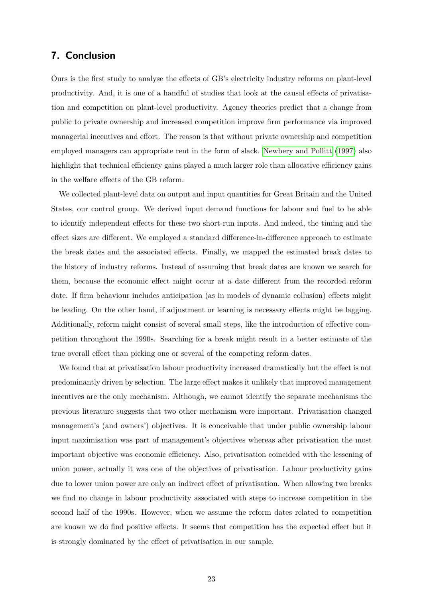# **7. Conclusion**

Ours is the first study to analyse the effects of GB's electricity industry reforms on plant-level productivity. And, it is one of a handful of studies that look at the causal effects of privatisation and competition on plant-level productivity. Agency theories predict that a change from public to private ownership and increased competition improve firm performance via improved managerial incentives and effort. The reason is that without private ownership and competition employed managers can appropriate rent in the form of slack. [Newbery and Pollitt](#page-27-1) [\(1997\)](#page-27-1) also highlight that technical efficiency gains played a much larger role than allocative efficiency gains in the welfare effects of the GB reform.

We collected plant-level data on output and input quantities for Great Britain and the United States, our control group. We derived input demand functions for labour and fuel to be able to identify independent effects for these two short-run inputs. And indeed, the timing and the effect sizes are different. We employed a standard difference-in-difference approach to estimate the break dates and the associated effects. Finally, we mapped the estimated break dates to the history of industry reforms. Instead of assuming that break dates are known we search for them, because the economic effect might occur at a date different from the recorded reform date. If firm behaviour includes anticipation (as in models of dynamic collusion) effects might be leading. On the other hand, if adjustment or learning is necessary effects might be lagging. Additionally, reform might consist of several small steps, like the introduction of effective competition throughout the 1990s. Searching for a break might result in a better estimate of the true overall effect than picking one or several of the competing reform dates.

We found that at privatisation labour productivity increased dramatically but the effect is not predominantly driven by selection. The large effect makes it unlikely that improved management incentives are the only mechanism. Although, we cannot identify the separate mechanisms the previous literature suggests that two other mechanism were important. Privatisation changed management's (and owners') objectives. It is conceivable that under public ownership labour input maximisation was part of management's objectives whereas after privatisation the most important objective was economic efficiency. Also, privatisation coincided with the lessening of union power, actually it was one of the objectives of privatisation. Labour productivity gains due to lower union power are only an indirect effect of privatisation. When allowing two breaks we find no change in labour productivity associated with steps to increase competition in the second half of the 1990s. However, when we assume the reform dates related to competition are known we do find positive effects. It seems that competition has the expected effect but it is strongly dominated by the effect of privatisation in our sample.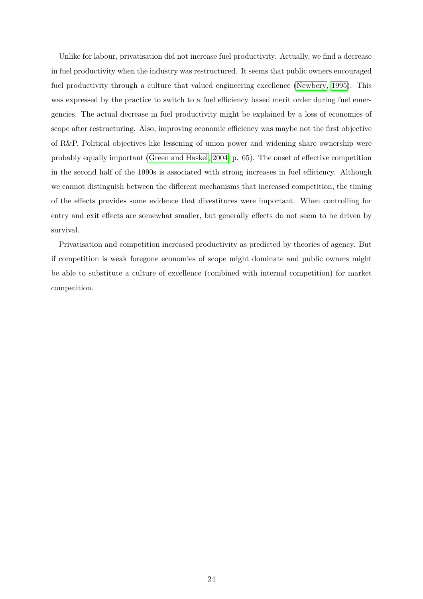Unlike for labour, privatisation did not increase fuel productivity. Actually, we find a decrease in fuel productivity when the industry was restructured. It seems that public owners encouraged fuel productivity through a culture that valued engineering excellence [\(Newbery, 1995\)](#page-27-8). This was expressed by the practice to switch to a fuel efficiency based merit order during fuel emergencies. The actual decrease in fuel productivity might be explained by a loss of economies of scope after restructuring. Also, improving economic efficiency was maybe not the first objective of R&P. Political objectives like lessening of union power and widening share ownership were probably equally important [\(Green and Haskel, 2004,](#page-26-12) p. 65). The onset of effective competition in the second half of the 1990s is associated with strong increases in fuel efficiency. Although we cannot distinguish between the different mechanisms that increased competition, the timing of the effects provides some evidence that divestitures were important. When controlling for entry and exit effects are somewhat smaller, but generally effects do not seem to be driven by survival.

Privatisation and competition increased productivity as predicted by theories of agency. But if competition is weak foregone economies of scope might dominate and public owners might be able to substitute a culture of excellence (combined with internal competition) for market competition.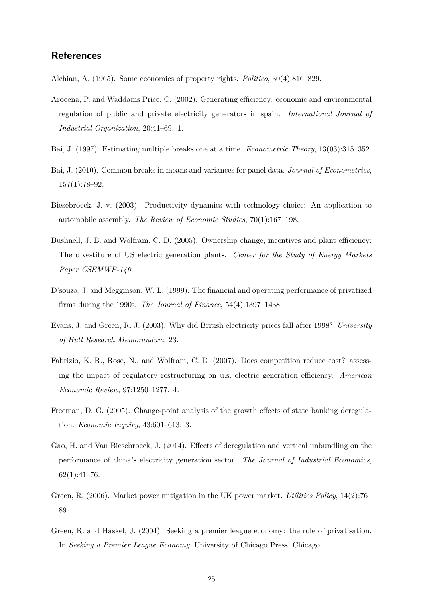## **References**

<span id="page-26-7"></span>Alchian, A. (1965). Some economics of property rights. *Politico*, 30(4):816–829.

- <span id="page-26-8"></span>Arocena, P. and Waddams Price, C. (2002). Generating efficiency: economic and environmental regulation of public and private electricity generators in spain. *International Journal of Industrial Organization*, 20:41–69. 1.
- <span id="page-26-11"></span>Bai, J. (1997). Estimating multiple breaks one at a time. *Econometric Theory*, 13(03):315–352.
- <span id="page-26-3"></span>Bai, J. (2010). Common breaks in means and variances for panel data. *Journal of Econometrics*,  $157(1):78-92.$
- <span id="page-26-2"></span>Biesebroeck, J. v. (2003). Productivity dynamics with technology choice: An application to automobile assembly. *The Review of Economic Studies*, 70(1):167–198.
- <span id="page-26-10"></span>Bushnell, J. B. and Wolfram, C. D. (2005). Ownership change, incentives and plant efficiency: The divestiture of US electric generation plants. *Center for the Study of Energy Markets Paper CSEMWP-140*.
- <span id="page-26-9"></span>D'souza, J. and Megginson, W. L. (1999). The financial and operating performance of privatized firms during the 1990s. *The Journal of Finance*, 54(4):1397–1438.
- <span id="page-26-6"></span>Evans, J. and Green, R. J. (2003). Why did British electricity prices fall after 1998? *University of Hull Research Memorandum*, 23.
- <span id="page-26-0"></span>Fabrizio, K. R., Rose, N., and Wolfram, C. D. (2007). Does competition reduce cost? assessing the impact of regulatory restructuring on u.s. electric generation efficiency. *American Economic Review*, 97:1250–1277. 4.
- <span id="page-26-4"></span>Freeman, D. G. (2005). Change-point analysis of the growth effects of state banking deregulation. *Economic Inquiry*, 43:601–613. 3.
- <span id="page-26-1"></span>Gao, H. and Van Biesebroeck, J. (2014). Effects of deregulation and vertical unbundling on the performance of china's electricity generation sector. *The Journal of Industrial Economics*,  $62(1):41-76.$
- <span id="page-26-5"></span>Green, R. (2006). Market power mitigation in the UK power market. *Utilities Policy*, 14(2):76– 89.
- <span id="page-26-12"></span>Green, R. and Haskel, J. (2004). Seeking a premier league economy: the role of privatisation. In *Seeking a Premier League Economy*. University of Chicago Press, Chicago.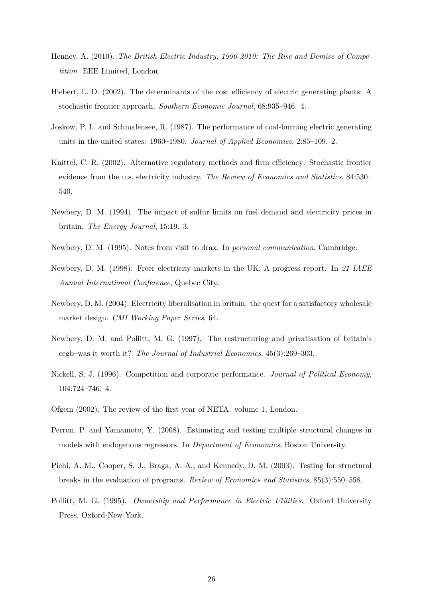- <span id="page-27-2"></span>Henney, A. (2010). *The British Electric Industry, 1990-2010: The Rise and Demise of Competition*. EEE Limited, London.
- <span id="page-27-9"></span>Hiebert, L. D. (2002). The determinants of the cost efficiency of electric generating plants: A stochastic frontier approach. *Southern Economic Journal*, 68:935–946. 4.
- <span id="page-27-10"></span>Joskow, P. L. and Schmalensee, R. (1987). The performance of coal-burning electric generating units in the united states: 1960–1980. *Journal of Applied Economics*, 2:85–109. 2.
- <span id="page-27-11"></span>Knittel, C. R. (2002). Alternative regulatory methods and firm efficiency: Stochastic frontier evidence from the u.s. electricity industry. *The Review of Economics and Statistics*, 84:530– 540.
- <span id="page-27-6"></span>Newbery, D. M. (1994). The impact of sulfur limits on fuel demand and electricity prices in britain. *The Energy Journal*, 15:19. 3.
- <span id="page-27-8"></span>Newbery, D. M. (1995). Notes from visit to drax. In *personal communication*, Cambridge.
- <span id="page-27-5"></span>Newbery, D. M. (1998). Freer electricity markets in the UK: A progress report. In *21 IAEE Annual International Conference*, Quebec City.
- <span id="page-27-3"></span>Newbery, D. M. (2004). Electricity liberalisation in britain: the quest for a satisfactory wholesale market design. *CMI Working Paper Series*, 64.
- <span id="page-27-1"></span>Newbery, D. M. and Pollitt, M. G. (1997). The restructuring and privatisation of britain's cegb–was it worth it? *The Journal of Industrial Economics*, 45(3):269–303.
- <span id="page-27-7"></span>Nickell, S. J. (1996). Competition and corporate performance. *Journal of Political Economy*, 104:724–746. 4.
- <span id="page-27-4"></span>Ofgem (2002). The review of the first year of NETA. volume 1, London.
- <span id="page-27-13"></span>Perron, P. and Yamamoto, Y. (2008). Estimating and testing multiple structural changes in models with endogenous regressors. In *Department of Economics*, Boston University.
- <span id="page-27-12"></span>Piehl, A. M., Cooper, S. J., Braga, A. A., and Kennedy, D. M. (2003). Testing for structural breaks in the evaluation of programs. *Review of Economics and Statistics*, 85(3):550–558.
- <span id="page-27-0"></span>Pollitt, M. G. (1995). *Ownership and Performance in Electric Utilities*. Oxford University Press, Oxford-New York.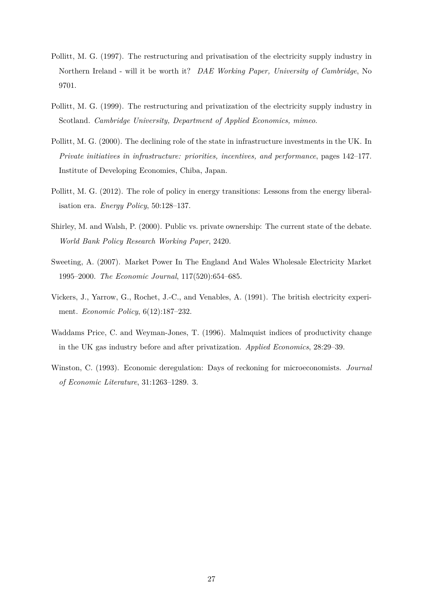- <span id="page-28-6"></span>Pollitt, M. G. (1997). The restructuring and privatisation of the electricity supply industry in Northern Ireland - will it be worth it? *DAE Working Paper, University of Cambridge*, No 9701.
- <span id="page-28-7"></span>Pollitt, M. G. (1999). The restructuring and privatization of the electricity supply industry in Scotland. *Cambridge University, Department of Applied Economics, mimeo*.
- <span id="page-28-8"></span>Pollitt, M. G. (2000). The declining role of the state in infrastructure investments in the UK. In *Private initiatives in infrastructure: priorities, incentives, and performance*, pages 142–177. Institute of Developing Economies, Chiba, Japan.
- <span id="page-28-1"></span>Pollitt, M. G. (2012). The role of policy in energy transitions: Lessons from the energy liberalisation era. *Energy Policy*, 50:128–137.
- <span id="page-28-3"></span>Shirley, M. and Walsh, P. (2000). Public vs. private ownership: The current state of the debate. *World Bank Policy Research Working Paper*, 2420.
- <span id="page-28-5"></span>Sweeting, A. (2007). Market Power In The England And Wales Wholesale Electricity Market 1995–2000. *The Economic Journal*, 117(520):654–685.
- <span id="page-28-4"></span>Vickers, J., Yarrow, G., Rochet, J.-C., and Venables, A. (1991). The british electricity experiment. *Economic Policy*, 6(12):187–232.
- <span id="page-28-2"></span>Waddams Price, C. and Weyman-Jones, T. (1996). Malmquist indices of productivity change in the UK gas industry before and after privatization. *Applied Economics*, 28:29–39.
- <span id="page-28-0"></span>Winston, C. (1993). Economic deregulation: Days of reckoning for microeconomists. *Journal of Economic Literature*, 31:1263–1289. 3.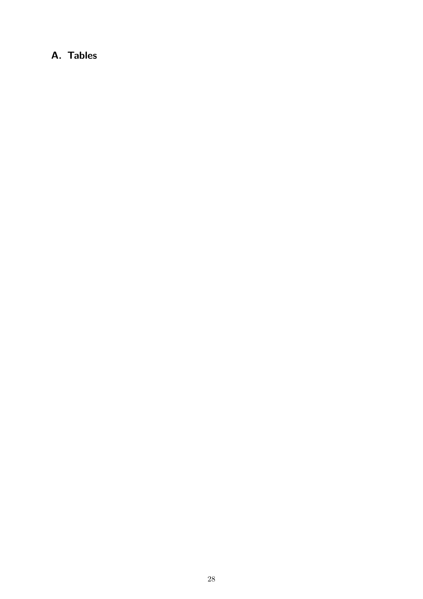# **A. Tables**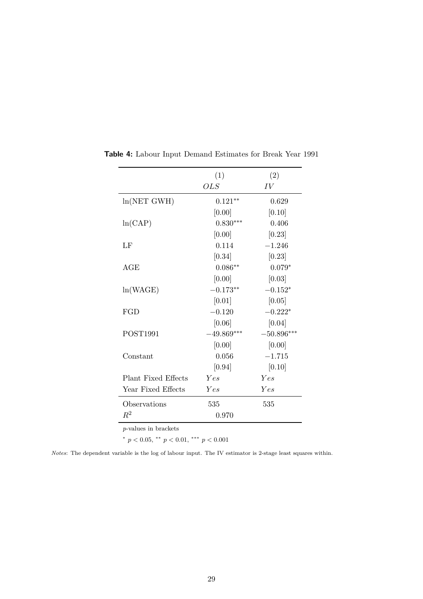<span id="page-30-0"></span>

|                     | (1)          | (2)          |
|---------------------|--------------|--------------|
|                     | <i>OLS</i>   | IV           |
| ln(NET GWH)         | $0.121**$    | 0.629        |
|                     | [0.00]       | [0.10]       |
| ln(CAP)             | $0.830***$   | 0.406        |
|                     | [0.00]       | [0.23]       |
| LF                  | 0.114        | $-1.246$     |
|                     | [0.34]       | [0.23]       |
| AGE                 | $0.086**$    | $0.079*$     |
|                     | [0.00]       | [0.03]       |
| ln(WAGE)            | $-0.173**$   | $-0.152*$    |
|                     | [0.01]       | [0.05]       |
| FGD                 | $-0.120$     | $-0.222*$    |
|                     | [0.06]       | [0.04]       |
| POST1991            | $-49.869***$ | $-50.896***$ |
|                     | [0.00]       | [0.00]       |
| Constant            | 0.056        | $-1.715$     |
|                     | [0.94]       | [0.10]       |
| Plant Fixed Effects | Yes          | Yes          |
| Year Fixed Effects  | Yes          | Yes          |
| Observations        | 535          | 535          |
| $R^2$               | 0.970        |              |

**Table 4:** Labour Input Demand Estimates for Break Year 1991

*p*-values in brackets

 $p < 0.05$ ,  $\rightarrow$  *p* < 0.01,  $\rightarrow$  *p* < 0.001

*Notes*: The dependent variable is the log of labour input. The IV estimator is 2-stage least squares within.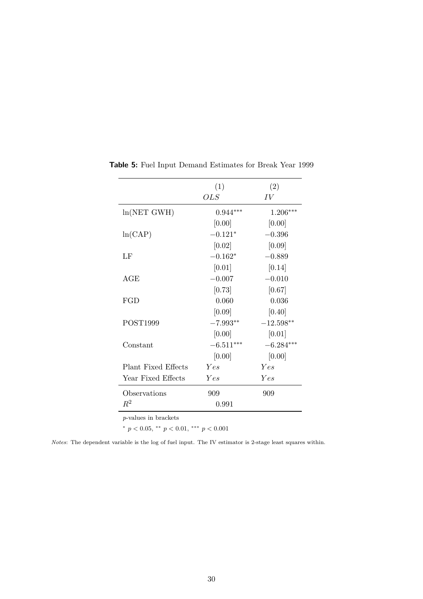<span id="page-31-0"></span>

|                              | (1)         | (2)         |
|------------------------------|-------------|-------------|
|                              | <b>OLS</b>  | IV          |
| ln(NET GWH)                  | $0.944***$  | 1.206***    |
|                              | [0.00]      | [0.00]      |
| ln(CAP)                      | $-0.121*$   | $-0.396$    |
|                              | [0.02]      | [0.09]      |
| LF                           | $-0.162*$   | $-0.889$    |
|                              | [0.01]      | [0.14]      |
| $\rm{AGE}$                   | $-0.007$    | $-0.010$    |
|                              | [0.73]      | [0.67]      |
| FGD                          | 0.060       | 0.036       |
|                              | [0.09]      | [0.40]      |
| POST1999                     | $-7.993**$  | $-12.598**$ |
|                              | [0.00]      | [0.01]      |
| Constant                     | $-6.511***$ | $-6.284***$ |
|                              | [0.00]      | [0.00]      |
| <b>Plant Fixed Effects</b>   | Yes         | Yes         |
| Year Fixed Effects           | Yes         | Yes         |
| Observations                 | 909         | 909         |
| $R^2$                        | 0.991       |             |
| <i>p</i> -values in brackets |             |             |

**Table 5:** Fuel Input Demand Estimates for Break Year 1999

*p*-values in brackets

 $\binom{*}{p} < 0.05$ ,  $\binom{**}{p} < 0.01$ ,  $\binom{***}{p} < 0.001$ 

*Notes*: The dependent variable is the log of fuel input. The IV estimator is 2-stage least squares within.